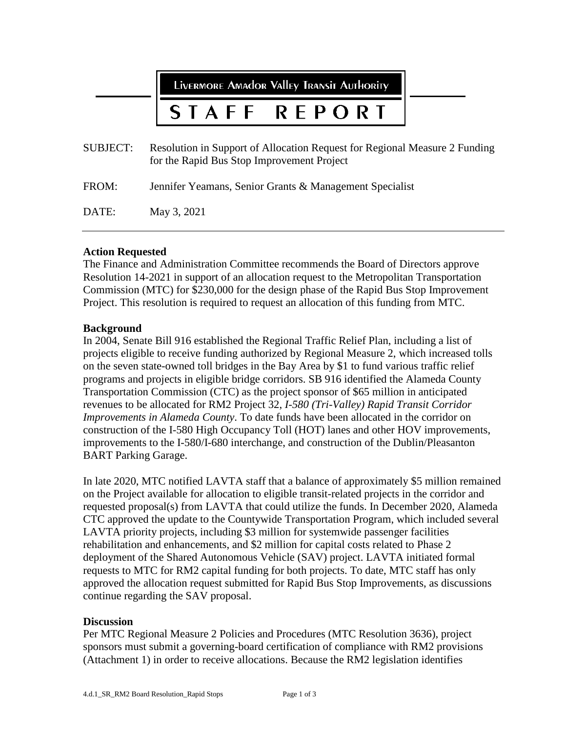LIVERMORE AMAdOR VAllEY TRANSIT AUTHORITY

#### **STAFF REPORT**

| SUBJECT: | Resolution in Support of Allocation Request for Regional Measure 2 Funding<br>for the Rapid Bus Stop Improvement Project |
|----------|--------------------------------------------------------------------------------------------------------------------------|
| FROM:    | Jennifer Yeamans, Senior Grants & Management Specialist                                                                  |
| DATE:    | May 3, 2021                                                                                                              |

#### **Action Requested**

The Finance and Administration Committee recommends the Board of Directors approve Resolution 14-2021 in support of an allocation request to the Metropolitan Transportation Commission (MTC) for \$230,000 for the design phase of the Rapid Bus Stop Improvement Project. This resolution is required to request an allocation of this funding from MTC.

#### **Background**

In 2004, Senate Bill 916 established the Regional Traffic Relief Plan, including a list of projects eligible to receive funding authorized by Regional Measure 2, which increased tolls on the seven state-owned toll bridges in the Bay Area by \$1 to fund various traffic relief programs and projects in eligible bridge corridors. SB 916 identified the Alameda County Transportation Commission (CTC) as the project sponsor of \$65 million in anticipated revenues to be allocated for RM2 Project 32, *I-580 (Tri-Valley) Rapid Transit Corridor Improvements in Alameda County*. To date funds have been allocated in the corridor on construction of the I-580 High Occupancy Toll (HOT) lanes and other HOV improvements, improvements to the I-580/I-680 interchange, and construction of the Dublin/Pleasanton BART Parking Garage.

In late 2020, MTC notified LAVTA staff that a balance of approximately \$5 million remained on the Project available for allocation to eligible transit-related projects in the corridor and requested proposal(s) from LAVTA that could utilize the funds. In December 2020, Alameda CTC approved the update to the Countywide Transportation Program, which included several LAVTA priority projects, including \$3 million for systemwide passenger facilities rehabilitation and enhancements, and \$2 million for capital costs related to Phase 2 deployment of the Shared Autonomous Vehicle (SAV) project. LAVTA initiated formal requests to MTC for RM2 capital funding for both projects. To date, MTC staff has only approved the allocation request submitted for Rapid Bus Stop Improvements, as discussions continue regarding the SAV proposal.

#### **Discussion**

Per MTC Regional Measure 2 Policies and Procedures (MTC Resolution 3636), project sponsors must submit a governing-board certification of compliance with RM2 provisions (Attachment 1) in order to receive allocations. Because the RM2 legislation identifies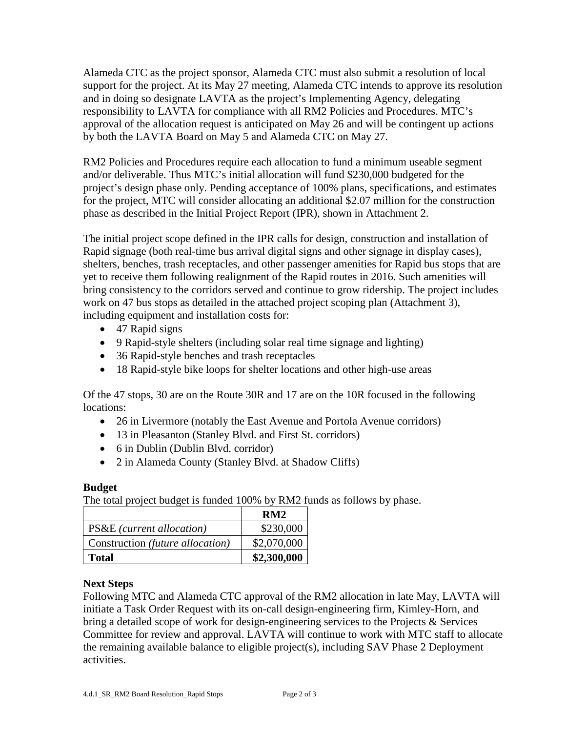Alameda CTC as the project sponsor, Alameda CTC must also submit a resolution of local support for the project. At its May 27 meeting, Alameda CTC intends to approve its resolution and in doing so designate LAVTA as the project's Implementing Agency, delegating responsibility to LAVTA for compliance with all RM2 Policies and Procedures. MTC's approval of the allocation request is anticipated on May 26 and will be contingent up actions by both the LAVTA Board on May 5 and Alameda CTC on May 27.

RM2 Policies and Procedures require each allocation to fund a minimum useable segment and/or deliverable. Thus MTC's initial allocation will fund \$230,000 budgeted for the project's design phase only. Pending acceptance of 100% plans, specifications, and estimates for the project, MTC will consider allocating an additional \$2.07 million for the construction phase as described in the Initial Project Report (IPR), shown in Attachment 2.

The initial project scope defined in the IPR calls for design, construction and installation of Rapid signage (both real-time bus arrival digital signs and other signage in display cases), shelters, benches, trash receptacles, and other passenger amenities for Rapid bus stops that are yet to receive them following realignment of the Rapid routes in 2016. Such amenities will bring consistency to the corridors served and continue to grow ridership. The project includes work on 47 bus stops as detailed in the attached project scoping plan (Attachment 3), including equipment and installation costs for:

- 47 Rapid signs
- 9 Rapid-style shelters (including solar real time signage and lighting)
- 36 Rapid-style benches and trash receptacles
- 18 Rapid-style bike loops for shelter locations and other high-use areas

Of the 47 stops, 30 are on the Route 30R and 17 are on the 10R focused in the following locations:

- 26 in Livermore (notably the East Avenue and Portola Avenue corridors)
- 13 in Pleasanton (Stanley Blvd. and First St. corridors)
- 6 in Dublin (Dublin Blvd. corridor)
- 2 in Alameda County (Stanley Blvd. at Shadow Cliffs)

#### **Budget**

The total project budget is funded 100% by RM2 funds as follows by phase.

|                                      | RM2         |
|--------------------------------------|-------------|
| <b>PS&amp;E</b> (current allocation) | \$230,000   |
| Construction (future allocation)     | \$2,070,000 |
| <b>Total</b>                         | \$2,300,000 |

#### **Next Steps**

Following MTC and Alameda CTC approval of the RM2 allocation in late May, LAVTA will initiate a Task Order Request with its on-call design-engineering firm, Kimley-Horn, and bring a detailed scope of work for design-engineering services to the Projects & Services Committee for review and approval. LAVTA will continue to work with MTC staff to allocate the remaining available balance to eligible project(s), including SAV Phase 2 Deployment activities.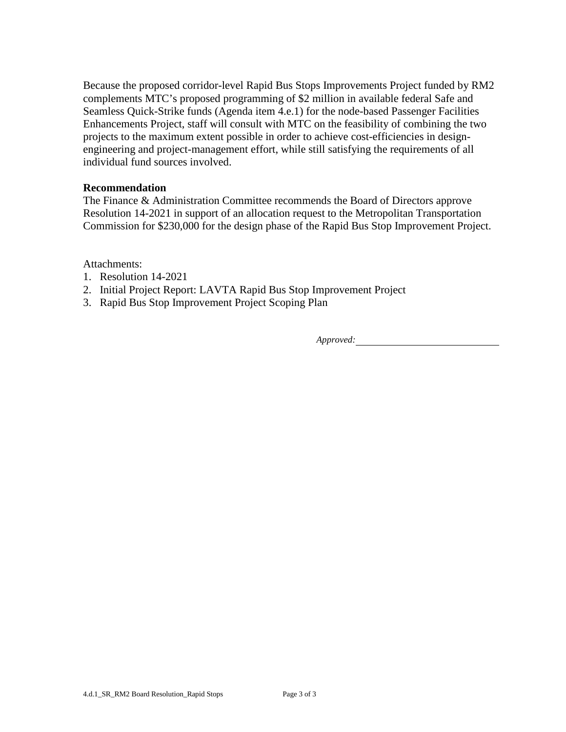Because the proposed corridor-level Rapid Bus Stops Improvements Project funded by RM2 complements MTC's proposed programming of \$2 million in available federal Safe and Seamless Quick-Strike funds (Agenda item 4.e.1) for the node-based Passenger Facilities Enhancements Project, staff will consult with MTC on the feasibility of combining the two projects to the maximum extent possible in order to achieve cost-efficiencies in designengineering and project-management effort, while still satisfying the requirements of all individual fund sources involved.

#### **Recommendation**

The Finance & Administration Committee recommends the Board of Directors approve Resolution 14-2021 in support of an allocation request to the Metropolitan Transportation Commission for \$230,000 for the design phase of the Rapid Bus Stop Improvement Project.

#### Attachments:

- 1. Resolution 14-2021
- 2. Initial Project Report: LAVTA Rapid Bus Stop Improvement Project
- 3. Rapid Bus Stop Improvement Project Scoping Plan

*Approved:*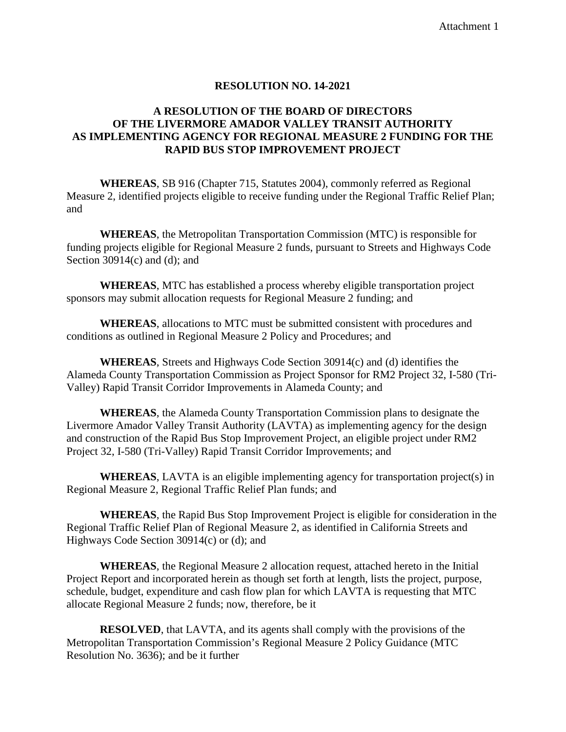#### **RESOLUTION NO. 14-2021**

#### **A RESOLUTION OF THE BOARD OF DIRECTORS OF THE LIVERMORE AMADOR VALLEY TRANSIT AUTHORITY AS IMPLEMENTING AGENCY FOR REGIONAL MEASURE 2 FUNDING FOR THE RAPID BUS STOP IMPROVEMENT PROJECT**

**WHEREAS**, SB 916 (Chapter 715, Statutes 2004), commonly referred as Regional Measure 2, identified projects eligible to receive funding under the Regional Traffic Relief Plan; and

**WHEREAS**, the Metropolitan Transportation Commission (MTC) is responsible for funding projects eligible for Regional Measure 2 funds, pursuant to Streets and Highways Code Section  $30914(c)$  and (d); and

**WHEREAS**, MTC has established a process whereby eligible transportation project sponsors may submit allocation requests for Regional Measure 2 funding; and

**WHEREAS**, allocations to MTC must be submitted consistent with procedures and conditions as outlined in Regional Measure 2 Policy and Procedures; and

**WHEREAS**, Streets and Highways Code Section 30914(c) and (d) identifies the Alameda County Transportation Commission as Project Sponsor for RM2 Project 32, I-580 (Tri-Valley) Rapid Transit Corridor Improvements in Alameda County; and

**WHEREAS**, the Alameda County Transportation Commission plans to designate the Livermore Amador Valley Transit Authority (LAVTA) as implementing agency for the design and construction of the Rapid Bus Stop Improvement Project, an eligible project under RM2 Project 32, I-580 (Tri-Valley) Rapid Transit Corridor Improvements; and

**WHEREAS**, LAVTA is an eligible implementing agency for transportation project(s) in Regional Measure 2, Regional Traffic Relief Plan funds; and

**WHEREAS**, the Rapid Bus Stop Improvement Project is eligible for consideration in the Regional Traffic Relief Plan of Regional Measure 2, as identified in California Streets and Highways Code Section 30914(c) or (d); and

**WHEREAS**, the Regional Measure 2 allocation request, attached hereto in the Initial Project Report and incorporated herein as though set forth at length, lists the project, purpose, schedule, budget, expenditure and cash flow plan for which LAVTA is requesting that MTC allocate Regional Measure 2 funds; now, therefore, be it

**RESOLVED**, that LAVTA, and its agents shall comply with the provisions of the Metropolitan Transportation Commission's Regional Measure 2 Policy Guidance (MTC Resolution No. 3636); and be it further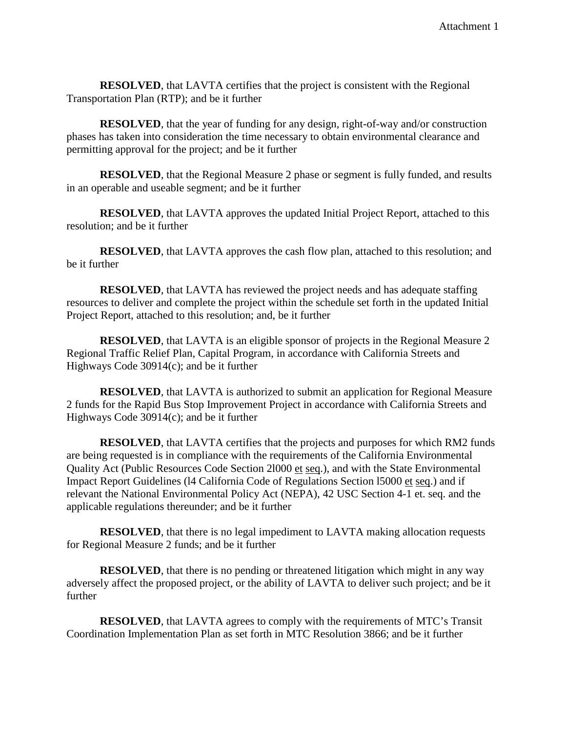**RESOLVED**, that LAVTA certifies that the project is consistent with the Regional Transportation Plan (RTP); and be it further

**RESOLVED**, that the year of funding for any design, right-of-way and/or construction phases has taken into consideration the time necessary to obtain environmental clearance and permitting approval for the project; and be it further

**RESOLVED**, that the Regional Measure 2 phase or segment is fully funded, and results in an operable and useable segment; and be it further

**RESOLVED**, that LAVTA approves the updated Initial Project Report, attached to this resolution; and be it further

**RESOLVED**, that LAVTA approves the cash flow plan, attached to this resolution; and be it further

**RESOLVED**, that LAVTA has reviewed the project needs and has adequate staffing resources to deliver and complete the project within the schedule set forth in the updated Initial Project Report, attached to this resolution; and, be it further

**RESOLVED**, that LAVTA is an eligible sponsor of projects in the Regional Measure 2 Regional Traffic Relief Plan, Capital Program, in accordance with California Streets and Highways Code 30914(c); and be it further

**RESOLVED**, that LAVTA is authorized to submit an application for Regional Measure 2 funds for the Rapid Bus Stop Improvement Project in accordance with California Streets and Highways Code 30914(c); and be it further

**RESOLVED**, that LAVTA certifies that the projects and purposes for which RM2 funds are being requested is in compliance with the requirements of the California Environmental Quality Act (Public Resources Code Section 2l000 et seq.), and with the State Environmental Impact Report Guidelines (l4 California Code of Regulations Section l5000 et seq.) and if relevant the National Environmental Policy Act (NEPA), 42 USC Section 4-1 et. seq. and the applicable regulations thereunder; and be it further

**RESOLVED**, that there is no legal impediment to LAVTA making allocation requests for Regional Measure 2 funds; and be it further

**RESOLVED**, that there is no pending or threatened litigation which might in any way adversely affect the proposed project, or the ability of LAVTA to deliver such project; and be it further

**RESOLVED**, that LAVTA agrees to comply with the requirements of MTC's Transit Coordination Implementation Plan as set forth in MTC Resolution 3866; and be it further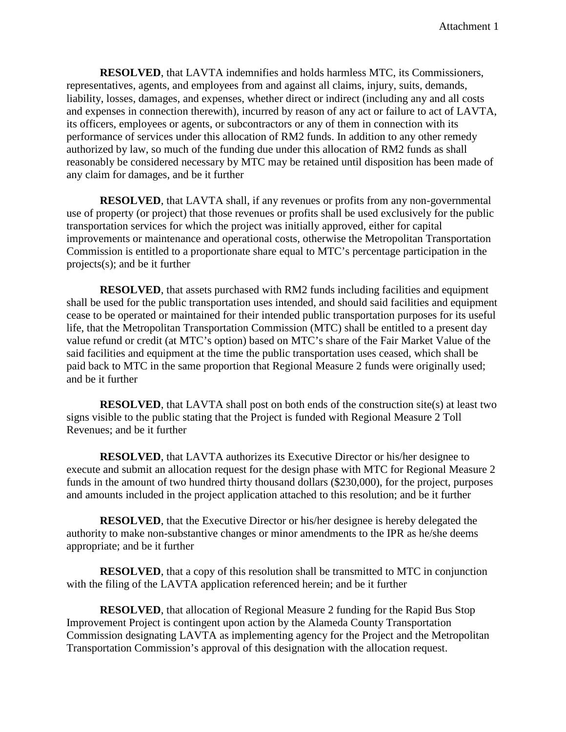**RESOLVED**, that LAVTA indemnifies and holds harmless MTC, its Commissioners, representatives, agents, and employees from and against all claims, injury, suits, demands, liability, losses, damages, and expenses, whether direct or indirect (including any and all costs and expenses in connection therewith), incurred by reason of any act or failure to act of LAVTA, its officers, employees or agents, or subcontractors or any of them in connection with its performance of services under this allocation of RM2 funds. In addition to any other remedy authorized by law, so much of the funding due under this allocation of RM2 funds as shall reasonably be considered necessary by MTC may be retained until disposition has been made of any claim for damages, and be it further

**RESOLVED**, that LAVTA shall, if any revenues or profits from any non-governmental use of property (or project) that those revenues or profits shall be used exclusively for the public transportation services for which the project was initially approved, either for capital improvements or maintenance and operational costs, otherwise the Metropolitan Transportation Commission is entitled to a proportionate share equal to MTC's percentage participation in the projects(s); and be it further

**RESOLVED**, that assets purchased with RM2 funds including facilities and equipment shall be used for the public transportation uses intended, and should said facilities and equipment cease to be operated or maintained for their intended public transportation purposes for its useful life, that the Metropolitan Transportation Commission (MTC) shall be entitled to a present day value refund or credit (at MTC's option) based on MTC's share of the Fair Market Value of the said facilities and equipment at the time the public transportation uses ceased, which shall be paid back to MTC in the same proportion that Regional Measure 2 funds were originally used; and be it further

**RESOLVED**, that LAVTA shall post on both ends of the construction site(s) at least two signs visible to the public stating that the Project is funded with Regional Measure 2 Toll Revenues; and be it further

**RESOLVED**, that LAVTA authorizes its Executive Director or his/her designee to execute and submit an allocation request for the design phase with MTC for Regional Measure 2 funds in the amount of two hundred thirty thousand dollars (\$230,000), for the project, purposes and amounts included in the project application attached to this resolution; and be it further

**RESOLVED**, that the Executive Director or his/her designee is hereby delegated the authority to make non-substantive changes or minor amendments to the IPR as he/she deems appropriate; and be it further

**RESOLVED**, that a copy of this resolution shall be transmitted to MTC in conjunction with the filing of the LAVTA application referenced herein; and be it further

**RESOLVED**, that allocation of Regional Measure 2 funding for the Rapid Bus Stop Improvement Project is contingent upon action by the Alameda County Transportation Commission designating LAVTA as implementing agency for the Project and the Metropolitan Transportation Commission's approval of this designation with the allocation request.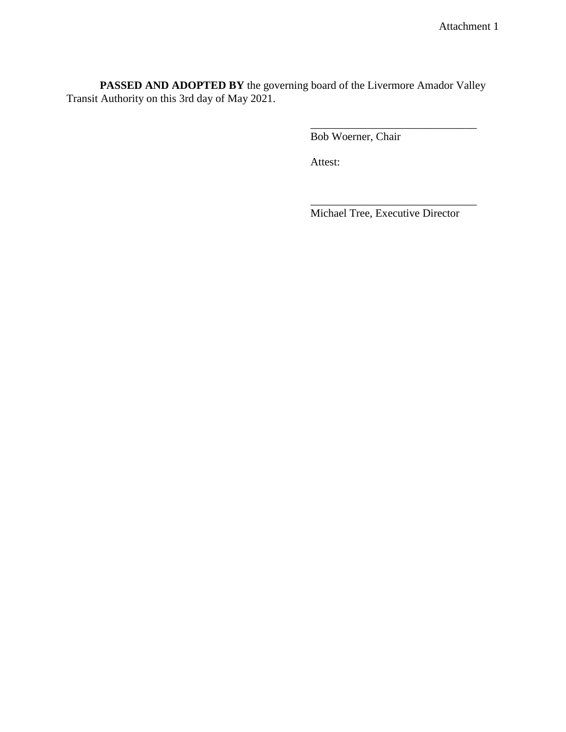**PASSED AND ADOPTED BY** the governing board of the Livermore Amador Valley Transit Authority on this 3rd day of May 2021.

Bob Woerner, Chair

Attest:

Michael Tree, Executive Director

\_\_\_\_\_\_\_\_\_\_\_\_\_\_\_\_\_\_\_\_\_\_\_\_\_\_\_\_\_\_

\_\_\_\_\_\_\_\_\_\_\_\_\_\_\_\_\_\_\_\_\_\_\_\_\_\_\_\_\_\_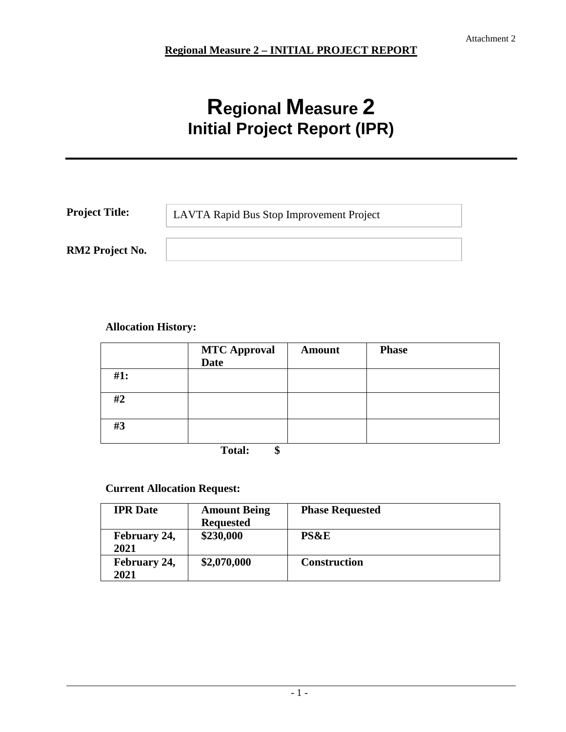# **Regional Measure 2 Initial Project Report (IPR)**

| <b>Project Title:</b> | LAVTA Rapid Bus Stop Improvement Project |
|-----------------------|------------------------------------------|
| RM2 Project No.       |                                          |

#### **Allocation History:**

|     | <b>MTC Approval</b><br><b>Date</b> | <b>Amount</b> | <b>Phase</b> |
|-----|------------------------------------|---------------|--------------|
| #1: |                                    |               |              |
| #2  |                                    |               |              |
| #3  |                                    |               |              |
|     | $T = 1$ .<br>₼                     |               |              |

**Total: \$**

#### **Current Allocation Request:**

| <b>IPR</b> Date | <b>Amount Being</b> | <b>Phase Requested</b> |
|-----------------|---------------------|------------------------|
|                 | <b>Requested</b>    |                        |
| February 24,    | \$230,000           | <b>PS&amp;E</b>        |
| 2021            |                     |                        |
| February 24,    | \$2,070,000         | <b>Construction</b>    |
| 2021            |                     |                        |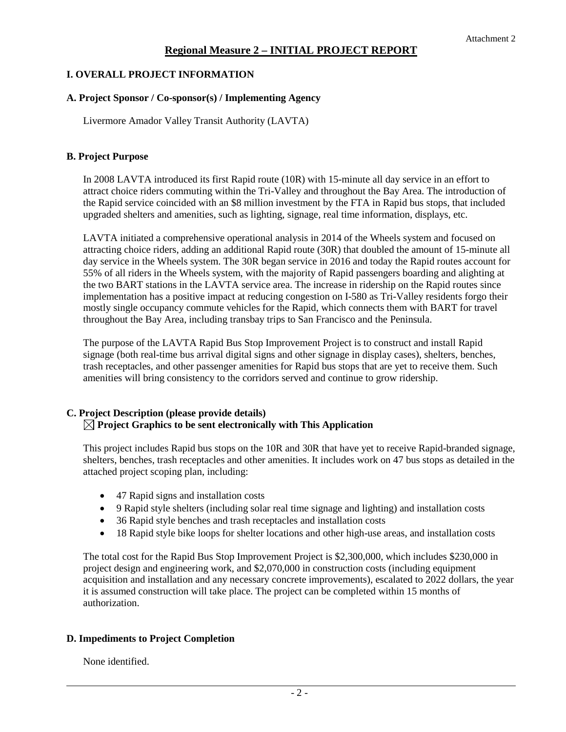#### **I. OVERALL PROJECT INFORMATION**

#### **A. Project Sponsor / Co-sponsor(s) / Implementing Agency**

Livermore Amador Valley Transit Authority (LAVTA)

#### **B. Project Purpose**

In 2008 LAVTA introduced its first Rapid route (10R) with 15-minute all day service in an effort to attract choice riders commuting within the Tri-Valley and throughout the Bay Area. The introduction of the Rapid service coincided with an \$8 million investment by the FTA in Rapid bus stops, that included upgraded shelters and amenities, such as lighting, signage, real time information, displays, etc.

LAVTA initiated a comprehensive operational analysis in 2014 of the Wheels system and focused on attracting choice riders, adding an additional Rapid route (30R) that doubled the amount of 15-minute all day service in the Wheels system. The 30R began service in 2016 and today the Rapid routes account for 55% of all riders in the Wheels system, with the majority of Rapid passengers boarding and alighting at the two BART stations in the LAVTA service area. The increase in ridership on the Rapid routes since implementation has a positive impact at reducing congestion on I-580 as Tri-Valley residents forgo their mostly single occupancy commute vehicles for the Rapid, which connects them with BART for travel throughout the Bay Area, including transbay trips to San Francisco and the Peninsula.

The purpose of the LAVTA Rapid Bus Stop Improvement Project is to construct and install Rapid signage (both real-time bus arrival digital signs and other signage in display cases), shelters, benches, trash receptacles, and other passenger amenities for Rapid bus stops that are yet to receive them. Such amenities will bring consistency to the corridors served and continue to grow ridership.

#### **C. Project Description (please provide details) Project Graphics to be sent electronically with This Application**

This project includes Rapid bus stops on the 10R and 30R that have yet to receive Rapid-branded signage, shelters, benches, trash receptacles and other amenities. It includes work on 47 bus stops as detailed in the attached project scoping plan, including:

- 47 Rapid signs and installation costs
- 9 Rapid style shelters (including solar real time signage and lighting) and installation costs
- 36 Rapid style benches and trash receptacles and installation costs
- 18 Rapid style bike loops for shelter locations and other high-use areas, and installation costs

The total cost for the Rapid Bus Stop Improvement Project is \$2,300,000, which includes \$230,000 in project design and engineering work, and \$2,070,000 in construction costs (including equipment acquisition and installation and any necessary concrete improvements), escalated to 2022 dollars, the year it is assumed construction will take place. The project can be completed within 15 months of authorization.

#### **D. Impediments to Project Completion**

None identified.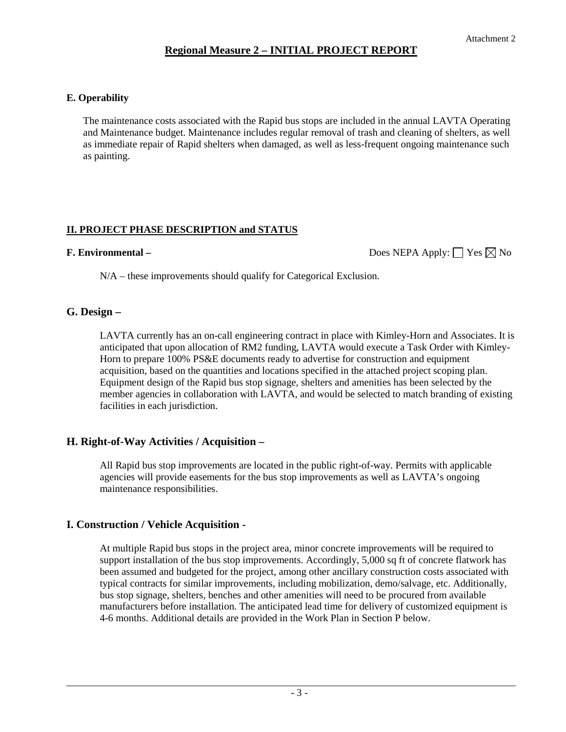#### **E. Operability**

The maintenance costs associated with the Rapid bus stops are included in the annual LAVTA Operating and Maintenance budget. Maintenance includes regular removal of trash and cleaning of shelters, as well as immediate repair of Rapid shelters when damaged, as well as less-frequent ongoing maintenance such as painting.

#### **II. PROJECT PHASE DESCRIPTION and STATUS**

**F. Environmental –** Does NEPA Apply:  $\Box$  Yes ⊠ No

N/A – these improvements should qualify for Categorical Exclusion.

#### **G. Design –**

LAVTA currently has an on-call engineering contract in place with Kimley-Horn and Associates. It is anticipated that upon allocation of RM2 funding, LAVTA would execute a Task Order with Kimley-Horn to prepare 100% PS&E documents ready to advertise for construction and equipment acquisition, based on the quantities and locations specified in the attached project scoping plan. Equipment design of the Rapid bus stop signage, shelters and amenities has been selected by the member agencies in collaboration with LAVTA, and would be selected to match branding of existing facilities in each jurisdiction.

#### **H. Right-of-Way Activities / Acquisition –**

All Rapid bus stop improvements are located in the public right-of-way. Permits with applicable agencies will provide easements for the bus stop improvements as well as LAVTA's ongoing maintenance responsibilities.

#### **I. Construction / Vehicle Acquisition -**

At multiple Rapid bus stops in the project area, minor concrete improvements will be required to support installation of the bus stop improvements. Accordingly, 5,000 sq ft of concrete flatwork has been assumed and budgeted for the project, among other ancillary construction costs associated with typical contracts for similar improvements, including mobilization, demo/salvage, etc. Additionally, bus stop signage, shelters, benches and other amenities will need to be procured from available manufacturers before installation. The anticipated lead time for delivery of customized equipment is 4-6 months. Additional details are provided in the Work Plan in Section P below.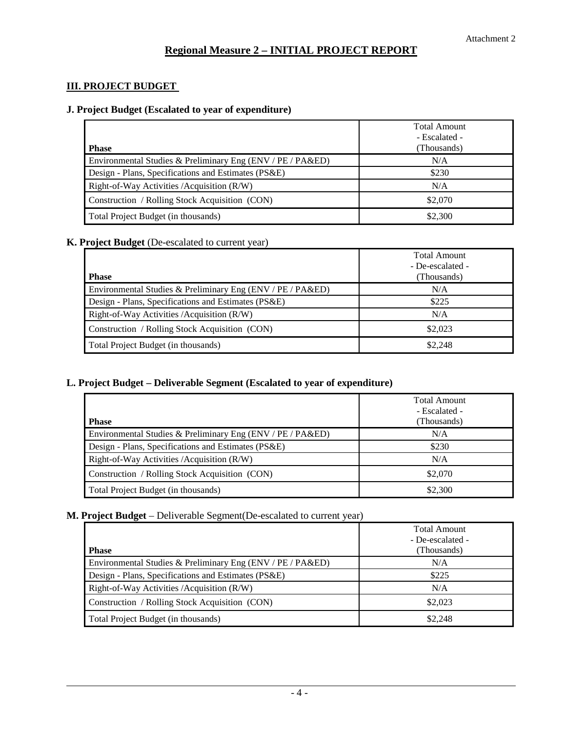#### **III. PROJECT BUDGET**

#### **J. Project Budget (Escalated to year of expenditure)**

|                                                            | <b>Total Amount</b><br>- Escalated - |
|------------------------------------------------------------|--------------------------------------|
| <b>Phase</b>                                               | (Thousands)                          |
| Environmental Studies & Preliminary Eng (ENV / PE / PA&ED) | N/A                                  |
| Design - Plans, Specifications and Estimates (PS&E)        | \$230                                |
| Right-of-Way Activities / Acquisition (R/W)                | N/A                                  |
| Construction / Rolling Stock Acquisition (CON)             | \$2,070                              |
| Total Project Budget (in thousands)                        | \$2,300                              |

#### **K. Project Budget** (De-escalated to current year)

|                                                            | <b>Total Amount</b> |
|------------------------------------------------------------|---------------------|
|                                                            | - De-escalated -    |
| <b>Phase</b>                                               | (Thousands)         |
| Environmental Studies & Preliminary Eng (ENV / PE / PA&ED) | N/A                 |
| Design - Plans, Specifications and Estimates (PS&E)        | \$225               |
| Right-of-Way Activities / Acquisition (R/W)                | N/A                 |
| Construction / Rolling Stock Acquisition (CON)             | \$2,023             |
| Total Project Budget (in thousands)                        | \$2,248             |

#### **L. Project Budget – Deliverable Segment (Escalated to year of expenditure)**

| <b>Phase</b>                                               | <b>Total Amount</b><br>- Escalated -<br>(Thousands) |
|------------------------------------------------------------|-----------------------------------------------------|
| Environmental Studies & Preliminary Eng (ENV / PE / PA&ED) | N/A                                                 |
| Design - Plans, Specifications and Estimates (PS&E)        | \$230                                               |
| Right-of-Way Activities / Acquisition (R/W)                | N/A                                                 |
| Construction / Rolling Stock Acquisition (CON)             | \$2,070                                             |
| Total Project Budget (in thousands)                        | \$2,300                                             |

#### **M. Project Budget** – Deliverable Segment(De-escalated to current year)

|                                                            | Total Amount<br>- De-escalated - |
|------------------------------------------------------------|----------------------------------|
| <b>Phase</b>                                               | (Thousands)                      |
| Environmental Studies & Preliminary Eng (ENV / PE / PA&ED) | N/A                              |
| Design - Plans, Specifications and Estimates (PS&E)        | \$225                            |
| Right-of-Way Activities / Acquisition (R/W)                | N/A                              |
| Construction / Rolling Stock Acquisition (CON)             | \$2,023                          |
| Total Project Budget (in thousands)                        | \$2,248                          |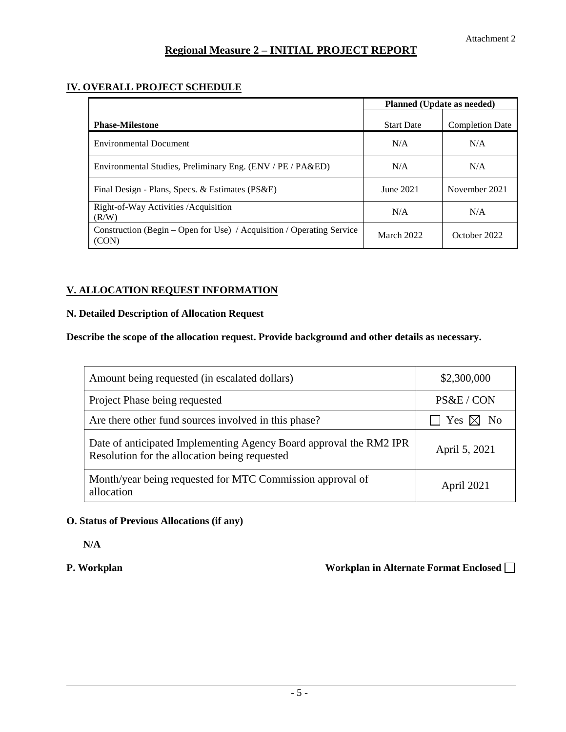#### **IV. OVERALL PROJECT SCHEDULE**

|                                                                                | Planned (Update as needed) |                        |
|--------------------------------------------------------------------------------|----------------------------|------------------------|
| <b>Phase-Milestone</b>                                                         | <b>Start Date</b>          | <b>Completion Date</b> |
| <b>Environmental Document</b>                                                  | N/A                        | N/A                    |
| Environmental Studies, Preliminary Eng. (ENV / PE / PA&ED)                     | N/A                        | N/A                    |
| Final Design - Plans, Specs. & Estimates (PS&E)                                | June 2021                  | November 2021          |
| Right-of-Way Activities / Acquisition<br>(R/W)                                 | N/A                        | N/A                    |
| Construction (Begin – Open for Use) / Acquisition / Operating Service<br>(CON) | March 2022                 | October 2022           |

#### **V. ALLOCATION REQUEST INFORMATION**

#### **N. Detailed Description of Allocation Request**

#### **Describe the scope of the allocation request. Provide background and other details as necessary.**

| Amount being requested (in escalated dollars)                                                                       | \$2,300,000               |
|---------------------------------------------------------------------------------------------------------------------|---------------------------|
| Project Phase being requested                                                                                       | PS&E / CON                |
| Are there other fund sources involved in this phase?                                                                | $\Box$ Yes $\boxtimes$ No |
| Date of anticipated Implementing Agency Board approval the RM2 IPR<br>Resolution for the allocation being requested | April 5, 2021             |
| Month/year being requested for MTC Commission approval of<br>allocation                                             | April 2021                |

#### **O. Status of Previous Allocations (if any)**

**N/A**

#### **P. Workplan Construction Constraints Alternate Format Enclosed International Construction Construction Constraints Alternate Format Enclosed International Construction Construction Construction Construction Construction C**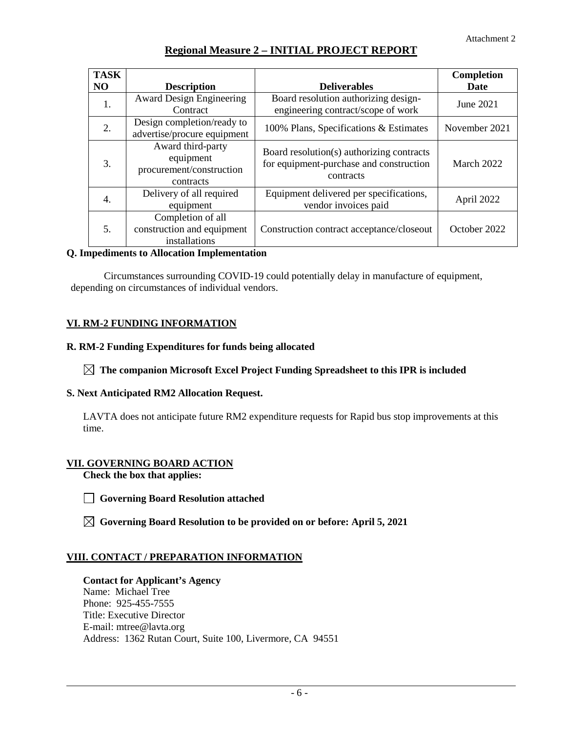| <b>TASK</b>    |                                                                         |                                                                                                   | Completion    |
|----------------|-------------------------------------------------------------------------|---------------------------------------------------------------------------------------------------|---------------|
| N <sub>O</sub> | <b>Description</b>                                                      | <b>Deliverables</b>                                                                               | <b>Date</b>   |
| 1.             | <b>Award Design Engineering</b><br>Contract                             | Board resolution authorizing design-<br>engineering contract/scope of work                        | June 2021     |
| 2.             | Design completion/ready to<br>advertise/procure equipment               | 100% Plans, Specifications & Estimates                                                            | November 2021 |
| 3.             | Award third-party<br>equipment<br>procurement/construction<br>contracts | Board resolution(s) authorizing contracts<br>for equipment-purchase and construction<br>contracts | March 2022    |
| 4.             | Delivery of all required<br>equipment                                   | Equipment delivered per specifications,<br>vendor invoices paid                                   | April 2022    |
| 5.             | Completion of all<br>construction and equipment<br>installations        | Construction contract acceptance/closeout                                                         | October 2022  |

#### **Q. Impediments to Allocation Implementation**

Circumstances surrounding COVID-19 could potentially delay in manufacture of equipment, depending on circumstances of individual vendors.

#### **VI. RM-2 FUNDING INFORMATION**

#### **R. RM-2 Funding Expenditures for funds being allocated**

#### **The companion Microsoft Excel Project Funding Spreadsheet to this IPR is included**

#### **S. Next Anticipated RM2 Allocation Request.**

LAVTA does not anticipate future RM2 expenditure requests for Rapid bus stop improvements at this time.

#### **VII. GOVERNING BOARD ACTION**

**Check the box that applies:** 

- **Governing Board Resolution attached**
- **Governing Board Resolution to be provided on or before: April 5, 2021**

#### **VIII. CONTACT / PREPARATION INFORMATION**

#### **Contact for Applicant's Agency**

Name: Michael Tree Phone: 925-455-7555 Title: Executive Director E-mail: mtree@lavta.org Address: 1362 Rutan Court, Suite 100, Livermore, CA 94551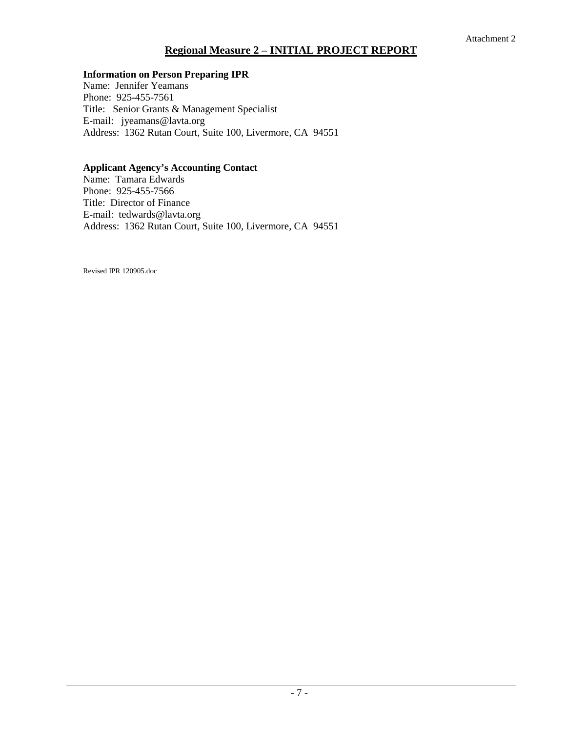#### **Information on Person Preparing IPR**

Name: Jennifer Yeamans Phone: 925-455-7561 Title: Senior Grants & Management Specialist E-mail: jyeamans@lavta.org Address: 1362 Rutan Court, Suite 100, Livermore, CA 94551

#### **Applicant Agency's Accounting Contact**

Name: Tamara Edwards Phone: 925-455-7566 Title: Director of Finance E-mail: tedwards@lavta.org Address: 1362 Rutan Court, Suite 100, Livermore, CA 94551

Revised IPR 120905.doc